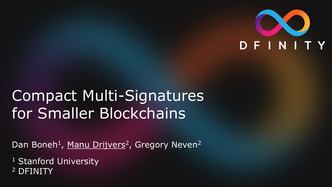

### Compact Multi-Signatures for Smaller Blockchains

Dan Boneh<sup>1</sup>, Manu Drijvers<sup>2</sup>, Gregory Neven<sup>2</sup>

<sup>1</sup> Stanford University <sup>2</sup> DFINITY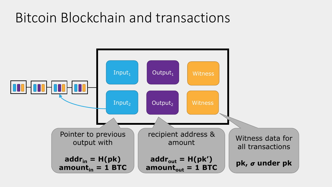### Bitcoin Blockchain and transactions

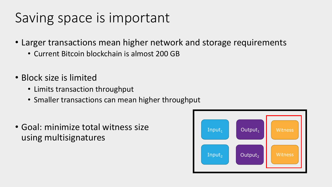### Saving space is important

- Larger transactions mean higher network and storage requirements
	- Current Bitcoin blockchain is almost 200 GB
- Block size is limited
	- Limits transaction throughput
	- Smaller transactions can mean higher throughput
- Goal: minimize total witness size using multisignatures

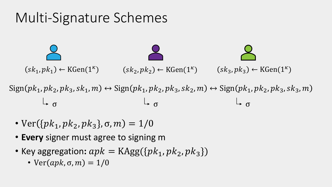# Multi-Signature Schemes  $(s k_1, p k_1) \leftarrow \text{KGen}(1^{\kappa})$   $(s k_2, p k_2) \leftarrow \text{KGen}(1^{\kappa})$  $Sign(pk_1, pk_2, pk_3, sk_1, m) \leftrightarrow Sign(pk_1, pk_2, pk_3, sk_2, m) \leftrightarrow Sign(pk_1, pk_2, pk_3, sk_3, m)$  $(sk_3, pk_3) \leftarrow KGen(1^{\kappa})$  $\sigma$

- $Ver({pk_1, pk_2, pk_3}, \sigma, m) = 1/0$
- **Every** signer must agree to signing m
- Key aggregation:  $apk = KAgg({pk<sub>1</sub>, pk<sub>2</sub>, pk<sub>3</sub>})$ 
	- $Ver(apk, \sigma, m) = 1/0$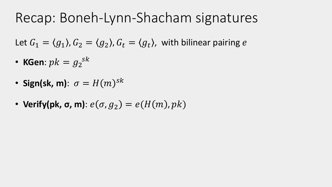### Recap: Boneh-Lynn-Shacham signatures

Let  $G_1 = \langle g_1 \rangle$ ,  $G_2 = \langle g_2 \rangle$ ,  $G_t = \langle g_t \rangle$ , with bilinear pairing e

- KGen:  $pk = g_2^{sk}$
- Sign(sk, m):  $\sigma = H(m)^{sk}$
- Verify(pk,  $\sigma$ , m):  $e(\sigma, g_2) = e(H(m), pk)$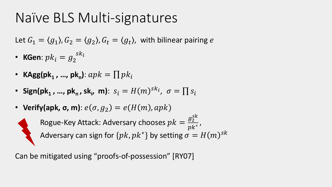### Naïve BLS Multi-signatures

Let  $G_1 = \langle g_1 \rangle$ ,  $G_2 = \langle g_2 \rangle$ ,  $G_t = \langle g_t \rangle$ , with bilinear pairing e

- KGen:  $pk_i = g_2^{sk_i}$
- **KAgg(pk<sub>1</sub>, …, pk<sub>n</sub>)**:  $apk = \prod pk_i$
- Sign(pk<sub>1</sub>, ..., pk<sub>n</sub>, sk<sub>i</sub>, m):  $s_i = H(m)^{sk_i}$ ,  $\sigma = \prod s_i$

• Verify(**apk**, 
$$
\sigma
$$
,  $m$ ):  $e(\sigma, g_2) = e(H(m), apk)$ 

Rogue-Key Attack: Adversary chooses  $pk =$  $g_2^{S k}$  $\frac{g_2}{p k^*}$  , Adversary can sign for  $\{pk, pk^*\}$  by setting  $\sigma = H(m)^{sk}$ 

Can be mitigated using "proofs-of-possession" [RY07]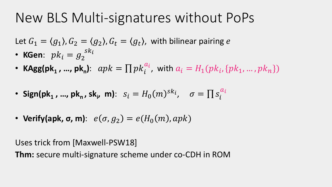### New BLS Multi-signatures without PoPs

Let  $G_1 = \langle g_1 \rangle$ ,  $G_2 = \langle g_2 \rangle$ ,  $G_t = \langle g_t \rangle$ , with bilinear pairing e

- **KGen**:  $pk_i = g_2$  $\overline{sk}_i$
- **KAgg(pk<sub>1</sub>, …, pk<sub>n</sub>)**:  $apk = \prod pk_i^{a_i}$ , with  $a_i = H_1(pk_i, \{pk_1, ..., pk_n\})$
- Sign(pk<sub>1</sub>, ..., pk<sub>n</sub>, sk<sub>i</sub>, m):  $s_i = H_0(m)^{sk_i}$ ,  $\sigma = \prod s_i^{a_i}$
- **Verify(apk,**  $\sigma$ **, m)**:  $e(\sigma, g_2) = e(H_0(m), apk)$

Uses trick from [Maxwell-PSW18]

**Thm:** secure multi-signature scheme under co-CDH in ROM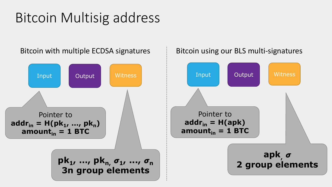### Bitcoin Multisig address

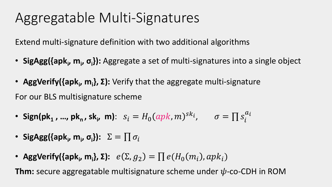### Aggregatable Multi-Signatures

Extend multi-signature definition with two additional algorithms

- SigAgg({apk<sub>i</sub>, m<sub>i</sub>, σ<sub>i</sub>}): Aggregate a set of multi-signatures into a single object
- AggVerify({apk<sub>i</sub>, m<sub>i</sub>}, Σ): Verify that the aggregate multi-signature For our BLS multisignature scheme
- Sign(pk<sub>1</sub>, ..., pk<sub>n</sub>, sk<sub>i</sub>, m):  $s_i = H_0(apk, m)^{sk_i}$ ,  $\sigma = \prod s_i^{a_i}$
- SigAgg({apk<sub>i</sub>, m<sub>i</sub>, σ<sub>i</sub>}):  $\Sigma = \prod \sigma_i$
- AggVerify({apk<sub>i</sub>, m<sub>i</sub>}, Σ):  $e(\Sigma, g_2) = \prod e(H_0(m_i), apk_i)$

**Thm:** secure aggregatable multisignature scheme under  $\psi$ -co-CDH in ROM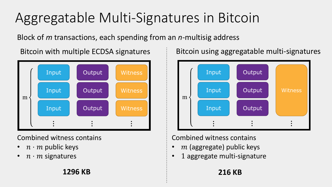## Aggregatable Multi-Signatures in Bitcoin

Block of *m* transactions, each spending from an *n*-multisig address



#### Combined witness contains

- $n \cdot m$  public keys
- $n \cdot m$  signatures

Bitcoin with multiple ECDSA signatures **Bitcoin** using aggregatable multi-signatures



### Combined witness contains

- $m$  (aggregate) public keys
- 1 aggregate multi-signature

**1296 KB 216 KB**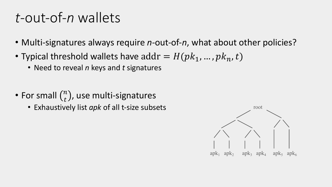### *t*-out-of-*n* wallets

- Multi-signatures always require *n*-out-of-*n*, what about other policies?
- Typical threshold wallets have  $\text{addr} = H(pk_1, ..., pk_n, t)$ 
	- Need to reveal *n* keys and *t* signatures
- For small  $\binom{n}{t}$ , use multi-signatures
	- Exhaustively list *apk* of all t-size subsets

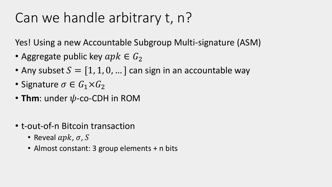### Can we handle arbitrary t, n?

Yes! Using a new Accountable Subgroup Multi-signature (ASM)

- Aggregate public key  $apk \in G_2$
- Any subset  $S = [1, 1, 0, ...]$  can sign in an accountable way
- Signature  $\sigma \in G_1 \times G_2$
- Thm: under  $\psi$ -co-CDH in ROM
- t-out-of-n Bitcoin transaction
	- Reveal  $apk, \sigma, S$
	- Almost constant: 3 group elements + n bits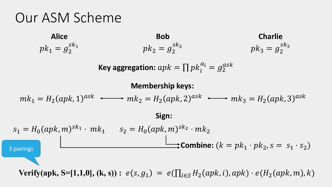### Our ASM Scheme

| Alice               | Bob                 | Charlie             |
|---------------------|---------------------|---------------------|
| $pk_1 = g_2^{sk_1}$ | $pk_2 = g_2^{sk_2}$ | $pk_3 = g_2^{sk_3}$ |

Key aggregation: 
$$
apk = \prod pk_i^{a_i} = g_2^{ask}
$$

#### **Membership keys:**

$$
mk_1 = H_2(apk, 1)^{ask} \longleftrightarrow mk_2 = H_2(apk, 2)^{ask} \longleftrightarrow mk_3 = H_2(apk, 3)^{ask}
$$
  
\n**Sign:**  
\n
$$
s_1 = H_0(apk, m)^{sk_1} \cdot mk_1 \qquad s_2 = H_0(apk, m)^{sk_2} \cdot mk_2
$$
  
\n**Combine:**  $(k = pk_1 \cdot pk_2, s = s_1 \cdot s_2)$ 

**Verify(apk, S=[1,1,0], (k, s))**:  $e(s, g_1) = e(\prod_{i \in S} H_2(apk, i), apk) \cdot e(H_2(apk, m), k)$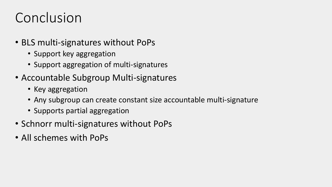### Conclusion

- BLS multi-signatures without PoPs
	- Support key aggregation
	- Support aggregation of multi-signatures
- Accountable Subgroup Multi-signatures
	- Key aggregation
	- Any subgroup can create constant size accountable multi-signature
	- Supports partial aggregation
- Schnorr multi-signatures without PoPs
- All schemes with PoPs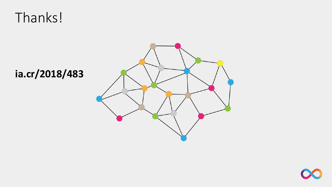### Thanks!